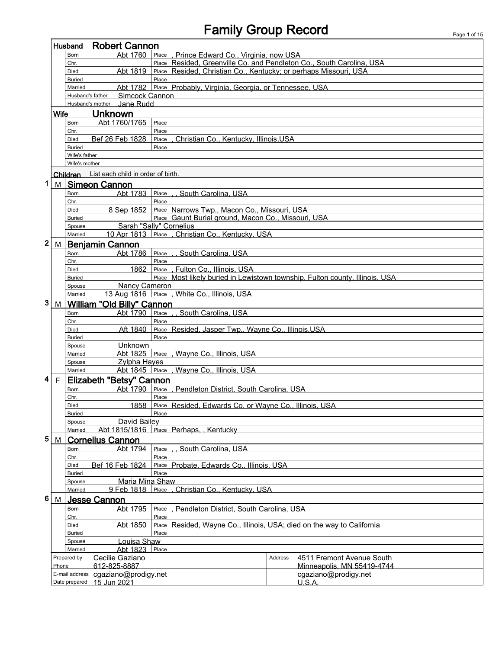## Family Group Record Page 1 of 15

|   | <b>Robert Cannon</b><br>Husband                                                      |                         |                                                 |                                                                              |         |                            |  |
|---|--------------------------------------------------------------------------------------|-------------------------|-------------------------------------------------|------------------------------------------------------------------------------|---------|----------------------------|--|
|   |                                                                                      | Born                    | Abt 1760                                        | , Prince Edward Co., Virginia, now USA<br>Place                              |         |                            |  |
|   |                                                                                      | Chr.                    |                                                 | Place Resided, Greenville Co. and Pendleton Co., South Carolina, USA         |         |                            |  |
|   | Place Resided, Christian Co., Kentucky; or perhaps Missouri, USA<br>Abt 1819<br>Died |                         |                                                 |                                                                              |         |                            |  |
|   |                                                                                      | <b>Buried</b>           |                                                 | Place                                                                        |         |                            |  |
|   |                                                                                      | Married                 |                                                 | Abt 1782 Place Probably, Virginia, Georgia, or Tennessee, USA                |         |                            |  |
|   |                                                                                      | Husband's father        | Simcock Cannon<br>Jane Rudd<br>Husband's mother |                                                                              |         |                            |  |
|   |                                                                                      |                         |                                                 |                                                                              |         |                            |  |
|   | <b>Wife</b>                                                                          |                         | Unknown                                         |                                                                              |         |                            |  |
|   |                                                                                      | <b>Born</b><br>Chr.     | Abt 1760/1765                                   | Place<br>Place                                                               |         |                            |  |
|   |                                                                                      | Died                    | Bef 26 Feb 1828                                 | Place, Christian Co., Kentucky, Illinois, USA                                |         |                            |  |
|   |                                                                                      | <b>Buried</b>           |                                                 | Place                                                                        |         |                            |  |
|   |                                                                                      | Wife's father           |                                                 |                                                                              |         |                            |  |
|   |                                                                                      | Wife's mother           |                                                 |                                                                              |         |                            |  |
|   |                                                                                      |                         | Children List each child in order of birth      |                                                                              |         |                            |  |
| 1 | M                                                                                    |                         | <b>Simeon Cannon</b>                            |                                                                              |         |                            |  |
|   |                                                                                      |                         | Abt 1783                                        | South Carolina, USA<br>Place                                                 |         |                            |  |
|   |                                                                                      | Born<br>Chr.            |                                                 | Place                                                                        |         |                            |  |
|   |                                                                                      | Died                    |                                                 | 8 Sep 1852 Place Narrows Twp., Macon Co., Missouri, USA                      |         |                            |  |
|   |                                                                                      | <b>Buried</b>           |                                                 | Place Gaunt Burial ground, Macon Co., Missouri, USA                          |         |                            |  |
|   |                                                                                      | Spouse                  |                                                 | Sarah "Sally" Cornelius                                                      |         |                            |  |
|   |                                                                                      | Married                 |                                                 | 10 Apr 1813 Place . Christian Co., Kentucky, USA                             |         |                            |  |
| 2 | M                                                                                    |                         | <b>Beniamin Cannon</b>                          |                                                                              |         |                            |  |
|   |                                                                                      | Born                    | Abt 1786 Place                                  | , South Carolina, USA                                                        |         |                            |  |
|   |                                                                                      | Chr.                    |                                                 | Place                                                                        |         |                            |  |
|   |                                                                                      | <b>Died</b>             | 1862                                            | Place , Fulton Co., Illinois, USA                                            |         |                            |  |
|   |                                                                                      | <b>Buried</b>           |                                                 | Place Most likely buried in Lewistown township, Fulton county, Illinois, USA |         |                            |  |
|   |                                                                                      | Spouse                  | <b>Nancy Cameron</b>                            |                                                                              |         |                            |  |
|   |                                                                                      | Married                 |                                                 | 13 Aug 1816   Place , White Co., Illinois, USA                               |         |                            |  |
| 3 | M                                                                                    |                         | <b>William "Old Billy" Cannon</b>               |                                                                              |         |                            |  |
|   |                                                                                      | Born                    | Abt 1790                                        | Place<br>. South Carolina, USA                                               |         |                            |  |
|   |                                                                                      | Chr.                    |                                                 | Place                                                                        |         |                            |  |
|   |                                                                                      | <b>Died</b>             | Aft 1840 l                                      | Place Resided, Jasper Twp., Wayne Co., Illinois, USA                         |         |                            |  |
|   |                                                                                      | <b>Buried</b><br>Spouse | Unknown                                         | Place                                                                        |         |                            |  |
|   |                                                                                      | Married                 | Abt 1825 Place                                  | , Wayne Co., Illinois, USA                                                   |         |                            |  |
|   |                                                                                      | Spouse                  | <b>Zylpha Hayes</b>                             |                                                                              |         |                            |  |
|   |                                                                                      | Married                 |                                                 | Abt 1845 Place Wayne Co., Illinois, USA                                      |         |                            |  |
| 4 | F                                                                                    |                         | Elizabeth "Betsy" Cannon                        |                                                                              |         |                            |  |
|   |                                                                                      | Born                    | Abt 1790                                        | Place , Pendleton District, South Carolina, USA                              |         |                            |  |
|   |                                                                                      | Chr.                    |                                                 | Place                                                                        |         |                            |  |
|   |                                                                                      | Died                    | 1858                                            | Place Resided, Edwards Co. or Wayne Co., Illinois, USA                       |         |                            |  |
|   |                                                                                      | <b>Buried</b>           |                                                 | Place                                                                        |         |                            |  |
|   |                                                                                      | Spouse                  | David Bailey                                    |                                                                              |         |                            |  |
|   |                                                                                      | Married                 | Abt 1815/1816                                   | Place Perhaps, Kentucky                                                      |         |                            |  |
| 5 | M                                                                                    |                         | <b>Cornelius Cannon</b>                         |                                                                              |         |                            |  |
|   |                                                                                      | Born                    | Abt 1794                                        | , South Carolina, USA<br>Place                                               |         |                            |  |
|   |                                                                                      | Chr.                    |                                                 | Place                                                                        |         |                            |  |
|   | Bef 16 Feb 1824<br>Place Probate, Edwards Co., Illinois, USA<br>Died                 |                         |                                                 |                                                                              |         |                            |  |
|   |                                                                                      | <b>Buried</b><br>Spouse | Maria Mina Shaw                                 | Place                                                                        |         |                            |  |
|   |                                                                                      | Married                 | 9 Feb 1818 Place                                | Christian Co., Kentucky, USA                                                 |         |                            |  |
| 6 | M                                                                                    |                         | <b>Jesse Cannon</b>                             |                                                                              |         |                            |  |
|   |                                                                                      | Born                    | Abt 1795                                        | Pendleton District, South Carolina, USA<br>Place                             |         |                            |  |
|   |                                                                                      | Chr.                    |                                                 | Place                                                                        |         |                            |  |
|   |                                                                                      | Died                    | Abt 1850                                        | Place Resided, Wayne Co., Illinois, USA; died on the way to California       |         |                            |  |
|   |                                                                                      | <b>Buried</b>           |                                                 | Place                                                                        |         |                            |  |
|   |                                                                                      | Spouse                  | Louisa Shaw                                     |                                                                              |         |                            |  |
|   |                                                                                      | Married                 | Abt 1823 Place                                  |                                                                              |         |                            |  |
|   |                                                                                      | Prepared by             | Cecilie Gaziano                                 |                                                                              | Address | 4511 Fremont Avenue South  |  |
|   | Phone                                                                                |                         | 612-825-8887                                    |                                                                              |         | Minneapolis, MN 55419-4744 |  |
|   |                                                                                      | E-mail address          | cgaziano@prodigy.net                            |                                                                              |         | cgaziano@prodigy.net       |  |
|   |                                                                                      | Date prepared           | 15 Jun 2021                                     |                                                                              |         | U.S.A.                     |  |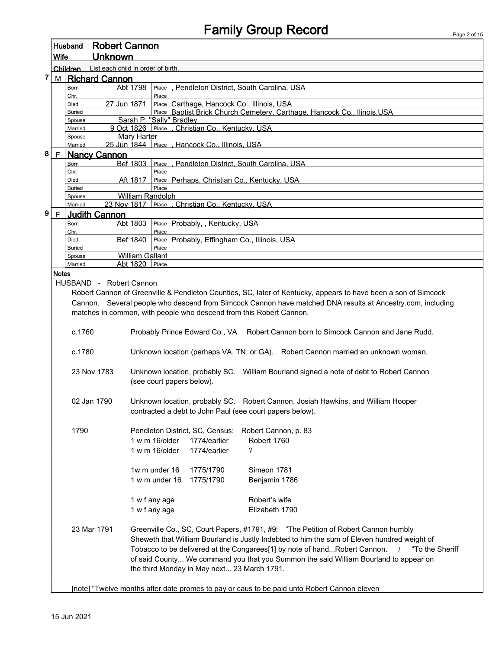|                                                                                      |              | Husband                                                                                     | <b>Robert Cannon</b>                                                                                           |  |  |  |  |  |
|--------------------------------------------------------------------------------------|--------------|---------------------------------------------------------------------------------------------|----------------------------------------------------------------------------------------------------------------|--|--|--|--|--|
|                                                                                      | Wife         |                                                                                             | <b>Unknown</b>                                                                                                 |  |  |  |  |  |
|                                                                                      |              | Children                                                                                    | List each child in order of birth.                                                                             |  |  |  |  |  |
| 7                                                                                    | M            | <b>Richard Cannon</b>                                                                       |                                                                                                                |  |  |  |  |  |
|                                                                                      |              | Born                                                                                        | Abt 1798<br>Place . Pendleton District. South Carolina. USA                                                    |  |  |  |  |  |
|                                                                                      |              | Chr.                                                                                        | Place                                                                                                          |  |  |  |  |  |
|                                                                                      |              | Died                                                                                        | 27 Jun 1871<br>Place Carthage, Hancock Co., Illinois, USA                                                      |  |  |  |  |  |
|                                                                                      |              | <b>Buried</b><br>Spouse                                                                     | Place Baptist Brick Church Cemetery, Carthage, Hancock Co., Ilinois, USA<br>Sarah P. "Sally" Bradley           |  |  |  |  |  |
|                                                                                      |              | Married                                                                                     | 9 Oct 1826 Place, Christian Co., Kentucky, USA                                                                 |  |  |  |  |  |
|                                                                                      |              | Spouse                                                                                      | <b>Mary Harter</b>                                                                                             |  |  |  |  |  |
|                                                                                      |              | Married                                                                                     | 25 Jun 1844 Place, Hancock Co., Illinois, USA                                                                  |  |  |  |  |  |
| 8                                                                                    | F.           | <b>Nancy Cannon</b>                                                                         |                                                                                                                |  |  |  |  |  |
|                                                                                      |              | Born                                                                                        | Bef 1803<br>Place, Pendleton District, South Carolina, USA                                                     |  |  |  |  |  |
|                                                                                      |              | Chr.<br>Died                                                                                | Place<br>Aft 1817<br>Place Perhaps, Christian Co., Kentucky, USA                                               |  |  |  |  |  |
|                                                                                      |              | <b>Buried</b>                                                                               | Place                                                                                                          |  |  |  |  |  |
|                                                                                      |              | Spouse                                                                                      | William Randolph                                                                                               |  |  |  |  |  |
|                                                                                      |              | Married                                                                                     | 23 Nov 1817 Place, Christian Co., Kentucky, USA                                                                |  |  |  |  |  |
| 9                                                                                    | F.           | Judith Cannon                                                                               |                                                                                                                |  |  |  |  |  |
|                                                                                      |              | Born                                                                                        | Place Probably, , Kentucky, USA<br>Abt 1803                                                                    |  |  |  |  |  |
|                                                                                      |              | Chr.                                                                                        | Place                                                                                                          |  |  |  |  |  |
|                                                                                      |              | Died<br><b>Buried</b>                                                                       | Bef 1840<br>Place Probably, Effingham Co., Illinois, USA<br>Place                                              |  |  |  |  |  |
|                                                                                      |              | Spouse                                                                                      | <b>William Gallant</b>                                                                                         |  |  |  |  |  |
|                                                                                      |              | Married                                                                                     | Abt 1820<br>Place                                                                                              |  |  |  |  |  |
|                                                                                      | <b>Notes</b> |                                                                                             |                                                                                                                |  |  |  |  |  |
|                                                                                      |              | HUSBAND - Robert Cannon                                                                     |                                                                                                                |  |  |  |  |  |
|                                                                                      |              |                                                                                             | Robert Cannon of Greenville & Pendleton Counties, SC, later of Kentucky, appears to have been a son of Simcock |  |  |  |  |  |
|                                                                                      |              |                                                                                             | Cannon. Several people who descend from Simcock Cannon have matched DNA results at Ancestry.com, including     |  |  |  |  |  |
|                                                                                      |              |                                                                                             | matches in common, with people who descend from this Robert Cannon.                                            |  |  |  |  |  |
|                                                                                      |              |                                                                                             |                                                                                                                |  |  |  |  |  |
|                                                                                      |              | c.1760                                                                                      | Probably Prince Edward Co., VA. Robert Cannon born to Simcock Cannon and Jane Rudd.                            |  |  |  |  |  |
|                                                                                      |              | c.1780                                                                                      | Unknown location (perhaps VA, TN, or GA). Robert Cannon married an unknown woman.                              |  |  |  |  |  |
|                                                                                      |              | 23 Nov 1783                                                                                 | Unknown location, probably SC.  William Bourland signed a note of debt to Robert Cannon                        |  |  |  |  |  |
|                                                                                      |              |                                                                                             | (see court papers below).                                                                                      |  |  |  |  |  |
|                                                                                      |              |                                                                                             |                                                                                                                |  |  |  |  |  |
|                                                                                      |              | 02 Jan 1790                                                                                 | Unknown location, probably SC. Robert Cannon, Josiah Hawkins, and William Hooper                               |  |  |  |  |  |
|                                                                                      |              |                                                                                             | contracted a debt to John Paul (see court papers below).                                                       |  |  |  |  |  |
|                                                                                      |              |                                                                                             |                                                                                                                |  |  |  |  |  |
|                                                                                      |              | 1790                                                                                        | Pendleton District, SC, Census:<br>Robert Cannon, p. 83                                                        |  |  |  |  |  |
|                                                                                      |              |                                                                                             | $1 w m 16$ older<br>1774/earlier<br>Robert 1760                                                                |  |  |  |  |  |
|                                                                                      |              |                                                                                             | ?<br>1 w m 16/older<br>1774/earlier                                                                            |  |  |  |  |  |
|                                                                                      |              |                                                                                             |                                                                                                                |  |  |  |  |  |
|                                                                                      |              |                                                                                             | Simeon 1781<br>1w m under 16<br>1775/1790                                                                      |  |  |  |  |  |
|                                                                                      |              |                                                                                             | 1 w m under 16<br>1775/1790<br>Benjamin 1786                                                                   |  |  |  |  |  |
|                                                                                      |              |                                                                                             |                                                                                                                |  |  |  |  |  |
|                                                                                      |              |                                                                                             | Robert's wife<br>1 w f any age                                                                                 |  |  |  |  |  |
|                                                                                      |              |                                                                                             | 1 w f any age<br>Elizabeth 1790                                                                                |  |  |  |  |  |
|                                                                                      |              |                                                                                             |                                                                                                                |  |  |  |  |  |
|                                                                                      |              | 23 Mar 1791                                                                                 | Greenville Co., SC, Court Papers, #1791, #9: "The Petition of Robert Cannon humbly                             |  |  |  |  |  |
|                                                                                      |              |                                                                                             | Sheweth that William Bourland is Justly Indebted to him the sum of Eleven hundred weight of                    |  |  |  |  |  |
|                                                                                      |              |                                                                                             | Tobacco to be delivered at the Congarees[1] by note of hand Robert Cannon.<br>"To the Sheriff<br>$\sqrt{2}$    |  |  |  |  |  |
| of said County We command you that you Summon the said William Bourland to appear on |              |                                                                                             |                                                                                                                |  |  |  |  |  |
|                                                                                      |              |                                                                                             | the third Monday in May next 23 March 1791.                                                                    |  |  |  |  |  |
|                                                                                      |              |                                                                                             |                                                                                                                |  |  |  |  |  |
|                                                                                      |              | [note] "Twelve months after date promes to pay or caus to be paid unto Robert Cannon eleven |                                                                                                                |  |  |  |  |  |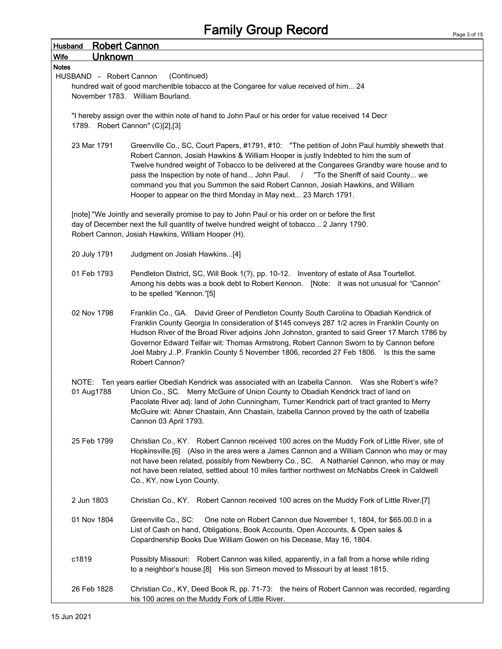| <b>Husband</b>                                                                                                                        | <b>Robert Cannon</b>                                                                                                                                                                                                                                                                                                                                                                                                                                                                                                           |  |  |  |  |
|---------------------------------------------------------------------------------------------------------------------------------------|--------------------------------------------------------------------------------------------------------------------------------------------------------------------------------------------------------------------------------------------------------------------------------------------------------------------------------------------------------------------------------------------------------------------------------------------------------------------------------------------------------------------------------|--|--|--|--|
| <b>Unknown</b><br><b>Wife</b>                                                                                                         |                                                                                                                                                                                                                                                                                                                                                                                                                                                                                                                                |  |  |  |  |
| <b>Notes</b><br>HUSBAND - Robert Cannon                                                                                               | (Continued)<br>hundred wait of good marchentble tobacco at the Congaree for value received of him 24<br>November 1783. William Bourland.                                                                                                                                                                                                                                                                                                                                                                                       |  |  |  |  |
| "I hereby assign over the within note of hand to John Paul or his order for value received 14 Decr<br>1789. Robert Cannon" (C)[2],[3] |                                                                                                                                                                                                                                                                                                                                                                                                                                                                                                                                |  |  |  |  |
| 23 Mar 1791                                                                                                                           | Greenville Co., SC, Court Papers, #1791, #10: "The petition of John Paul humbly sheweth that<br>Robert Cannon, Josiah Hawkins & William Hooper is justly Indebted to him the sum of<br>Twelve hundred weight of Tobacco to be delivered at the Congarees Grandby ware house and to<br>pass the Inspection by note of hand John Paul. / "To the Sheriff of said County we<br>command you that you Summon the said Robert Cannon, Josiah Hawkins, and William<br>Hooper to appear on the third Monday in May next 23 March 1791. |  |  |  |  |
|                                                                                                                                       | [note] "We Jointly and severally promise to pay to John Paul or his order on or before the first<br>day of December next the full quantity of twelve hundred weight of tobacco 2 Janry 1790.<br>Robert Cannon, Josiah Hawkins, William Hooper (H).                                                                                                                                                                                                                                                                             |  |  |  |  |
| 20 July 1791                                                                                                                          | Judgment on Josiah Hawkins[4]                                                                                                                                                                                                                                                                                                                                                                                                                                                                                                  |  |  |  |  |
| 01 Feb 1793                                                                                                                           | Pendleton District, SC, Will Book 1(?), pp. 10-12. Inventory of estate of Asa Tourtellot.<br>Among his debts was a book debt to Robert Kennon. [Note: it was not unusual for "Cannon"<br>to be spelled "Kennon."[5]                                                                                                                                                                                                                                                                                                            |  |  |  |  |
| 02 Nov 1798                                                                                                                           | Franklin Co., GA. David Greer of Pendleton County South Carolina to Obadiah Kendrick of<br>Franklin County Georgia In consideration of \$145 conveys 287 1/2 acres in Franklin County on<br>Hudson River of the Broad River adjoins John Johnston, granted to said Greer 17 March 1786 by<br>Governor Edward Telfair wit: Thomas Armstrong, Robert Cannon Sworn to by Cannon before<br>Joel Mabry JP. Franklin County 5 November 1806, recorded 27 Feb 1806. Is this the same<br>Robert Cannon?                                |  |  |  |  |
| 01 Aug1788                                                                                                                            | NOTE: Ten years earlier Obediah Kendrick was associated with an Izabella Cannon. Was she Robert's wife?<br>Union Co., SC. Merry McGuire of Union County to Obadiah Kendrick tract of land on<br>Pacolate River adj: land of John Cunningham, Turner Kendrick part of tract granted to Merry<br>McGuire wit: Abner Chastain, Ann Chastain, Izabella Cannon proved by the oath of Izabella<br>Cannon 03 April 1793.                                                                                                              |  |  |  |  |
| 25 Feb 1799                                                                                                                           | Christian Co., KY. Robert Cannon received 100 acres on the Muddy Fork of Little River, site of<br>Hopkinsville.[6] (Also in the area were a James Cannon and a William Cannon who may or may<br>not have been related, possibly from Newberry Co., SC. A Nathaniel Cannon, who may or may<br>not have been related, settled about 10 miles farther northwest on McNabbs Creek in Caldwell<br>Co., KY, now Lyon County.                                                                                                         |  |  |  |  |
| 2 Jun 1803                                                                                                                            | Christian Co., KY. Robert Cannon received 100 acres on the Muddy Fork of Little River.[7]                                                                                                                                                                                                                                                                                                                                                                                                                                      |  |  |  |  |
| 01 Nov 1804                                                                                                                           | Greenville Co., SC:<br>One note on Robert Cannon due November 1, 1804, for \$65.00.0 in a<br>List of Cash on hand, Obligations, Book Accounts, Open Accounts, & Open sales &<br>Copardnership Books Due William Gowen on his Decease, May 16, 1804.                                                                                                                                                                                                                                                                            |  |  |  |  |
| c1819                                                                                                                                 | Possibly Missouri: Robert Cannon was killed, apparently, in a fall from a horse while riding<br>to a neighbor's house.[8] His son Simeon moved to Missouri by at least 1815.                                                                                                                                                                                                                                                                                                                                                   |  |  |  |  |
| 26 Feb 1828                                                                                                                           | Christian Co., KY, Deed Book R, pp. 71-73: the heirs of Robert Cannon was recorded, regarding<br>his 100 acres on the Muddy Fork of Little River.                                                                                                                                                                                                                                                                                                                                                                              |  |  |  |  |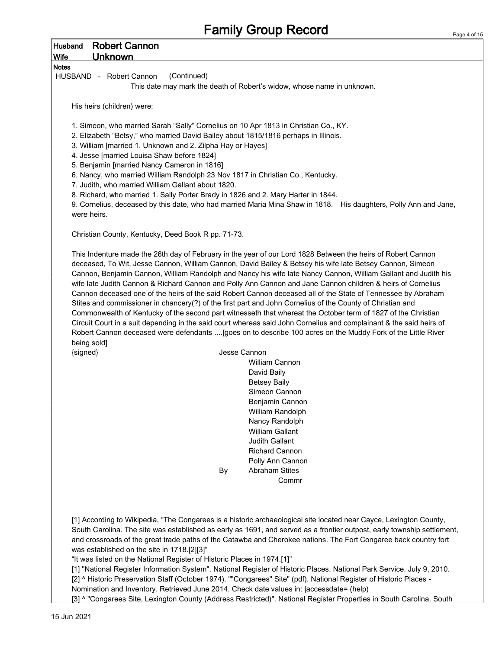| Husband<br>Wife         | <b>Robert Cannon</b>                                                                |              | <b>Family Group Record</b>                                                                                                                                                                                                                                                                                                                                                                                                                                                                                                                                                                                                                                                                                                                                                                                                                                                                                                                                                                                                                                                                               | Page 4 of |
|-------------------------|-------------------------------------------------------------------------------------|--------------|----------------------------------------------------------------------------------------------------------------------------------------------------------------------------------------------------------------------------------------------------------------------------------------------------------------------------------------------------------------------------------------------------------------------------------------------------------------------------------------------------------------------------------------------------------------------------------------------------------------------------------------------------------------------------------------------------------------------------------------------------------------------------------------------------------------------------------------------------------------------------------------------------------------------------------------------------------------------------------------------------------------------------------------------------------------------------------------------------------|-----------|
|                         | <b>Unknown</b>                                                                      |              |                                                                                                                                                                                                                                                                                                                                                                                                                                                                                                                                                                                                                                                                                                                                                                                                                                                                                                                                                                                                                                                                                                          |           |
| <b>Notes</b>            |                                                                                     |              |                                                                                                                                                                                                                                                                                                                                                                                                                                                                                                                                                                                                                                                                                                                                                                                                                                                                                                                                                                                                                                                                                                          |           |
|                         | (Continued)<br>HUSBAND - Robert Cannon                                              |              |                                                                                                                                                                                                                                                                                                                                                                                                                                                                                                                                                                                                                                                                                                                                                                                                                                                                                                                                                                                                                                                                                                          |           |
|                         |                                                                                     |              | This date may mark the death of Robert's widow, whose name in unknown.                                                                                                                                                                                                                                                                                                                                                                                                                                                                                                                                                                                                                                                                                                                                                                                                                                                                                                                                                                                                                                   |           |
|                         |                                                                                     |              |                                                                                                                                                                                                                                                                                                                                                                                                                                                                                                                                                                                                                                                                                                                                                                                                                                                                                                                                                                                                                                                                                                          |           |
|                         | His heirs (children) were:                                                          |              |                                                                                                                                                                                                                                                                                                                                                                                                                                                                                                                                                                                                                                                                                                                                                                                                                                                                                                                                                                                                                                                                                                          |           |
|                         | 1. Simeon, who married Sarah "Sally" Cornelius on 10 Apr 1813 in Christian Co., KY. |              |                                                                                                                                                                                                                                                                                                                                                                                                                                                                                                                                                                                                                                                                                                                                                                                                                                                                                                                                                                                                                                                                                                          |           |
|                         | 2. Elizabeth "Betsy," who married David Bailey about 1815/1816 perhaps in Illinois. |              |                                                                                                                                                                                                                                                                                                                                                                                                                                                                                                                                                                                                                                                                                                                                                                                                                                                                                                                                                                                                                                                                                                          |           |
|                         | 3. William [married 1. Unknown and 2. Zilpha Hay or Hayes]                          |              |                                                                                                                                                                                                                                                                                                                                                                                                                                                                                                                                                                                                                                                                                                                                                                                                                                                                                                                                                                                                                                                                                                          |           |
|                         | 4. Jesse [married Louisa Shaw before 1824]                                          |              |                                                                                                                                                                                                                                                                                                                                                                                                                                                                                                                                                                                                                                                                                                                                                                                                                                                                                                                                                                                                                                                                                                          |           |
|                         | 5. Benjamin [married Nancy Cameron in 1816]                                         |              |                                                                                                                                                                                                                                                                                                                                                                                                                                                                                                                                                                                                                                                                                                                                                                                                                                                                                                                                                                                                                                                                                                          |           |
|                         | 6. Nancy, who married William Randolph 23 Nov 1817 in Christian Co., Kentucky.      |              |                                                                                                                                                                                                                                                                                                                                                                                                                                                                                                                                                                                                                                                                                                                                                                                                                                                                                                                                                                                                                                                                                                          |           |
|                         | 7. Judith, who married William Gallant about 1820.                                  |              |                                                                                                                                                                                                                                                                                                                                                                                                                                                                                                                                                                                                                                                                                                                                                                                                                                                                                                                                                                                                                                                                                                          |           |
|                         | 8. Richard, who married 1. Sally Porter Brady in 1826 and 2. Mary Harter in 1844.   |              | 9. Cornelius, deceased by this date, who had married Maria Mina Shaw in 1818. His daughters, Polly Ann and Jane,                                                                                                                                                                                                                                                                                                                                                                                                                                                                                                                                                                                                                                                                                                                                                                                                                                                                                                                                                                                         |           |
| were heirs.             |                                                                                     |              |                                                                                                                                                                                                                                                                                                                                                                                                                                                                                                                                                                                                                                                                                                                                                                                                                                                                                                                                                                                                                                                                                                          |           |
|                         |                                                                                     |              |                                                                                                                                                                                                                                                                                                                                                                                                                                                                                                                                                                                                                                                                                                                                                                                                                                                                                                                                                                                                                                                                                                          |           |
|                         | Christian County, Kentucky, Deed Book R pp. 71-73.                                  |              |                                                                                                                                                                                                                                                                                                                                                                                                                                                                                                                                                                                                                                                                                                                                                                                                                                                                                                                                                                                                                                                                                                          |           |
| being sold]<br>{signed} |                                                                                     | Jesse Cannon | This Indenture made the 26th day of February in the year of our Lord 1828 Between the heirs of Robert Cannon<br>deceased, To Wit, Jesse Cannon, William Cannon, David Bailey & Betsey his wife late Betsey Cannon, Simeon<br>Cannon, Benjamin Cannon, William Randolph and Nancy his wife late Nancy Cannon, William Gallant and Judith his<br>wife late Judith Cannon & Richard Cannon and Polly Ann Cannon and Jane Cannon children & heirs of Cornelius<br>Cannon deceased one of the heirs of the said Robert Cannon deceased all of the State of Tennessee by Abraham<br>Stites and commissioner in chancery(?) of the first part and John Cornelius of the County of Christian and<br>Commonwealth of Kentucky of the second part witnesseth that whereat the October term of 1827 of the Christian<br>Circuit Court in a suit depending in the said court whereas said John Cornelius and complainant & the said heirs of<br>Robert Cannon deceased were defendants  [goes on to describe 100 acres on the Muddy Fork of the Little River<br>William Cannon<br>David Baily<br><b>Betsey Baily</b> |           |
|                         |                                                                                     |              |                                                                                                                                                                                                                                                                                                                                                                                                                                                                                                                                                                                                                                                                                                                                                                                                                                                                                                                                                                                                                                                                                                          |           |
|                         |                                                                                     |              | Simeon Cannon                                                                                                                                                                                                                                                                                                                                                                                                                                                                                                                                                                                                                                                                                                                                                                                                                                                                                                                                                                                                                                                                                            |           |
|                         |                                                                                     |              | Benjamin Cannon                                                                                                                                                                                                                                                                                                                                                                                                                                                                                                                                                                                                                                                                                                                                                                                                                                                                                                                                                                                                                                                                                          |           |
|                         |                                                                                     |              | William Randolph                                                                                                                                                                                                                                                                                                                                                                                                                                                                                                                                                                                                                                                                                                                                                                                                                                                                                                                                                                                                                                                                                         |           |
|                         |                                                                                     |              | Nancy Randolph                                                                                                                                                                                                                                                                                                                                                                                                                                                                                                                                                                                                                                                                                                                                                                                                                                                                                                                                                                                                                                                                                           |           |
|                         |                                                                                     |              | <b>William Gallant</b>                                                                                                                                                                                                                                                                                                                                                                                                                                                                                                                                                                                                                                                                                                                                                                                                                                                                                                                                                                                                                                                                                   |           |
|                         |                                                                                     |              | Judith Gallant                                                                                                                                                                                                                                                                                                                                                                                                                                                                                                                                                                                                                                                                                                                                                                                                                                                                                                                                                                                                                                                                                           |           |
|                         |                                                                                     |              | <b>Richard Cannon</b>                                                                                                                                                                                                                                                                                                                                                                                                                                                                                                                                                                                                                                                                                                                                                                                                                                                                                                                                                                                                                                                                                    |           |
|                         |                                                                                     | By           | Polly Ann Cannon<br><b>Abraham Stites</b>                                                                                                                                                                                                                                                                                                                                                                                                                                                                                                                                                                                                                                                                                                                                                                                                                                                                                                                                                                                                                                                                |           |
|                         |                                                                                     |              | Commr                                                                                                                                                                                                                                                                                                                                                                                                                                                                                                                                                                                                                                                                                                                                                                                                                                                                                                                                                                                                                                                                                                    |           |
|                         |                                                                                     |              | [1] According to Wikipedia, "The Congarees is a historic archaeological site located near Cayce, Lexington County,<br>South Carolina. The site was established as early as 1691, and served as a frontier outpost, early township settlement,                                                                                                                                                                                                                                                                                                                                                                                                                                                                                                                                                                                                                                                                                                                                                                                                                                                            |           |

[3] ^ "Congarees Site, Lexington County (Address Restricted)". National Register Properties in South Carolina. South

Nomination and Inventory. Retrieved June 2014. Check date values in: |accessdate= (help)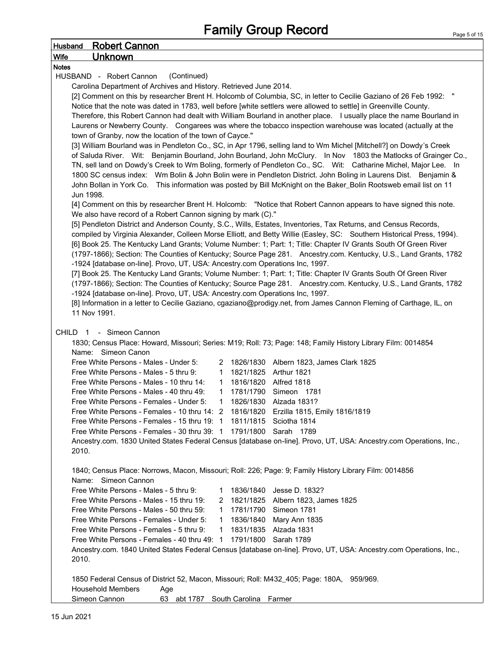| <b>Robert Cannon</b><br><b>Husband</b>                                                                             |                                                                                                                    |           |                                                                                                                        |  |  |  |  |
|--------------------------------------------------------------------------------------------------------------------|--------------------------------------------------------------------------------------------------------------------|-----------|------------------------------------------------------------------------------------------------------------------------|--|--|--|--|
| <b>Wife</b><br><u>Unknown</u>                                                                                      |                                                                                                                    |           |                                                                                                                        |  |  |  |  |
| <b>Notes</b>                                                                                                       |                                                                                                                    |           |                                                                                                                        |  |  |  |  |
| (Continued)<br>HUSBAND - Robert Cannon                                                                             |                                                                                                                    |           |                                                                                                                        |  |  |  |  |
| Carolina Department of Archives and History. Retrieved June 2014.                                                  |                                                                                                                    |           |                                                                                                                        |  |  |  |  |
| [2] Comment on this by researcher Brent H. Holcomb of Columbia, SC, in letter to Cecilie Gaziano of 26 Feb 1992: " |                                                                                                                    |           |                                                                                                                        |  |  |  |  |
|                                                                                                                    |                                                                                                                    |           | Notice that the note was dated in 1783, well before [white settlers were allowed to settle] in Greenville County.      |  |  |  |  |
|                                                                                                                    |                                                                                                                    |           | Therefore, this Robert Cannon had dealt with William Bourland in another place. I usually place the name Bourland in   |  |  |  |  |
|                                                                                                                    |                                                                                                                    |           | Laurens or Newberry County. Congarees was where the tobacco inspection warehouse was located (actually at the          |  |  |  |  |
| town of Granby, now the location of the town of Cayce."                                                            |                                                                                                                    |           |                                                                                                                        |  |  |  |  |
|                                                                                                                    | [3] William Bourland was in Pendleton Co., SC, in Apr 1796, selling land to Wm Michel [Mitchell?] on Dowdy's Creek |           |                                                                                                                        |  |  |  |  |
|                                                                                                                    |                                                                                                                    |           | of Saluda River. Wit: Benjamin Bourland, John Bourland, John McClury. In Nov 1803 the Matlocks of Grainger Co.,        |  |  |  |  |
|                                                                                                                    |                                                                                                                    |           | TN, sell land on Dowdy's Creek to Wm Boling, formerly of Pendleton Co., SC. Wit: Catharine Michel, Major Lee. In       |  |  |  |  |
|                                                                                                                    |                                                                                                                    |           | 1800 SC census index: Wm Bolin & John Bolin were in Pendleton District. John Boling in Laurens Dist. Benjamin &        |  |  |  |  |
|                                                                                                                    |                                                                                                                    |           | John Bollan in York Co. This information was posted by Bill McKnight on the Baker_Bolin Rootsweb email list on 11      |  |  |  |  |
| Jun 1998.                                                                                                          |                                                                                                                    |           |                                                                                                                        |  |  |  |  |
|                                                                                                                    |                                                                                                                    |           | [4] Comment on this by researcher Brent H. Holcomb: "Notice that Robert Cannon appears to have signed this note.       |  |  |  |  |
| We also have record of a Robert Cannon signing by mark (C)."                                                       |                                                                                                                    |           |                                                                                                                        |  |  |  |  |
|                                                                                                                    |                                                                                                                    |           | [5] Pendleton District and Anderson County, S.C., Wills, Estates, Inventories, Tax Returns, and Census Records,        |  |  |  |  |
|                                                                                                                    |                                                                                                                    |           | compiled by Virginia Alexander, Colleen Morse Elliott, and Betty Willie (Easley, SC: Southern Historical Press, 1994). |  |  |  |  |
|                                                                                                                    |                                                                                                                    |           | [6] Book 25. The Kentucky Land Grants; Volume Number: 1; Part: 1; Title: Chapter IV Grants South Of Green River        |  |  |  |  |
|                                                                                                                    |                                                                                                                    |           | (1797-1866); Section: The Counties of Kentucky; Source Page 281. Ancestry.com. Kentucky, U.S., Land Grants, 1782       |  |  |  |  |
| -1924 [database on-line]. Provo, UT, USA: Ancestry.com Operations Inc, 1997.                                       |                                                                                                                    |           |                                                                                                                        |  |  |  |  |
|                                                                                                                    |                                                                                                                    |           | [7] Book 25. The Kentucky Land Grants; Volume Number: 1; Part: 1; Title: Chapter IV Grants South Of Green River        |  |  |  |  |
|                                                                                                                    |                                                                                                                    |           | (1797-1866); Section: The Counties of Kentucky; Source Page 281. Ancestry.com. Kentucky, U.S., Land Grants, 1782       |  |  |  |  |
| -1924 [database on-line]. Provo, UT, USA: Ancestry.com Operations Inc, 1997.                                       |                                                                                                                    |           |                                                                                                                        |  |  |  |  |
| 11 Nov 1991.                                                                                                       |                                                                                                                    |           | [8] Information in a letter to Cecilie Gaziano, cgaziano@prodigy.net, from James Cannon Fleming of Carthage, IL, on    |  |  |  |  |
|                                                                                                                    |                                                                                                                    |           |                                                                                                                        |  |  |  |  |
| CHILD 1 - Simeon Cannon                                                                                            |                                                                                                                    |           |                                                                                                                        |  |  |  |  |
|                                                                                                                    |                                                                                                                    |           | 1830; Census Place: Howard, Missouri; Series: M19; Roll: 73; Page: 148; Family History Library Film: 0014854           |  |  |  |  |
| Name: Simeon Canon                                                                                                 |                                                                                                                    |           |                                                                                                                        |  |  |  |  |
| Free White Persons - Males - Under 5:                                                                              |                                                                                                                    |           | 2 1826/1830 Albern 1823, James Clark 1825                                                                              |  |  |  |  |
| Free White Persons - Males - 5 thru 9:                                                                             | $\mathbf{1}$                                                                                                       |           | 1821/1825 Arthur 1821                                                                                                  |  |  |  |  |
| Free White Persons - Males - 10 thru 14:                                                                           | $\mathbf{1}$                                                                                                       |           | 1816/1820 Alfred 1818                                                                                                  |  |  |  |  |
| Free White Persons - Males - 40 thru 49:                                                                           | 1                                                                                                                  |           | 1781/1790 Simeon 1781                                                                                                  |  |  |  |  |
| Free White Persons - Females - Under 5:                                                                            | $\mathbf 1$                                                                                                        |           | 1826/1830 Alzada 1831?                                                                                                 |  |  |  |  |
| Free White Persons - Females - 10 thru 14: 2 1816/1820 Erzilla 1815, Emily 1816/1819                               |                                                                                                                    |           |                                                                                                                        |  |  |  |  |
| Free White Persons - Females - 15 thru 19: 1 1811/1815 Sciotha 1814                                                |                                                                                                                    |           |                                                                                                                        |  |  |  |  |
| Free White Persons - Females - 30 thru 39: 1 1791/1800 Sarah 1789                                                  |                                                                                                                    |           |                                                                                                                        |  |  |  |  |
|                                                                                                                    |                                                                                                                    |           | Ancestry.com. 1830 United States Federal Census [database on-line]. Provo, UT, USA: Ancestry.com Operations, Inc.,     |  |  |  |  |
| 2010.                                                                                                              |                                                                                                                    |           |                                                                                                                        |  |  |  |  |
|                                                                                                                    |                                                                                                                    |           |                                                                                                                        |  |  |  |  |
|                                                                                                                    |                                                                                                                    |           | 1840; Census Place: Norrows, Macon, Missouri; Roll: 226; Page: 9; Family History Library Film: 0014856                 |  |  |  |  |
| Name: Simeon Cannon                                                                                                |                                                                                                                    |           |                                                                                                                        |  |  |  |  |
| Free White Persons - Males - 5 thru 9:                                                                             | $\mathbf 1$                                                                                                        | 1836/1840 | Jesse D. 1832?                                                                                                         |  |  |  |  |
| Free White Persons - Males - 15 thru 19:                                                                           |                                                                                                                    |           | 2 1821/1825 Albern 1823, James 1825                                                                                    |  |  |  |  |
| Free White Persons - Males - 50 thru 59:                                                                           | $\mathbf{1}$                                                                                                       |           | 1781/1790 Simeon 1781                                                                                                  |  |  |  |  |
| Free White Persons - Females - Under 5:                                                                            | $\mathbf{1}$                                                                                                       |           | 1836/1840 Mary Ann 1835                                                                                                |  |  |  |  |
| Free White Persons - Females - 5 thru 9:                                                                           | $\mathbf{1}$                                                                                                       |           | 1831/1835 Alzada 1831                                                                                                  |  |  |  |  |
| Free White Persons - Females - 40 thru 49: 1 1791/1800 Sarah 1789                                                  |                                                                                                                    |           |                                                                                                                        |  |  |  |  |
|                                                                                                                    |                                                                                                                    |           | Ancestry.com. 1840 United States Federal Census [database on-line]. Provo, UT, USA: Ancestry.com Operations, Inc.,     |  |  |  |  |
| 2010.                                                                                                              |                                                                                                                    |           |                                                                                                                        |  |  |  |  |
|                                                                                                                    |                                                                                                                    |           |                                                                                                                        |  |  |  |  |
| 1850 Federal Census of District 52, Macon, Missouri; Roll: M432_405; Page: 180A, 959/969.                          |                                                                                                                    |           |                                                                                                                        |  |  |  |  |
| <b>Household Members</b><br>Age                                                                                    |                                                                                                                    |           |                                                                                                                        |  |  |  |  |
| Simeon Cannon<br>63 abt 1787 South Carolina Farmer                                                                 |                                                                                                                    |           |                                                                                                                        |  |  |  |  |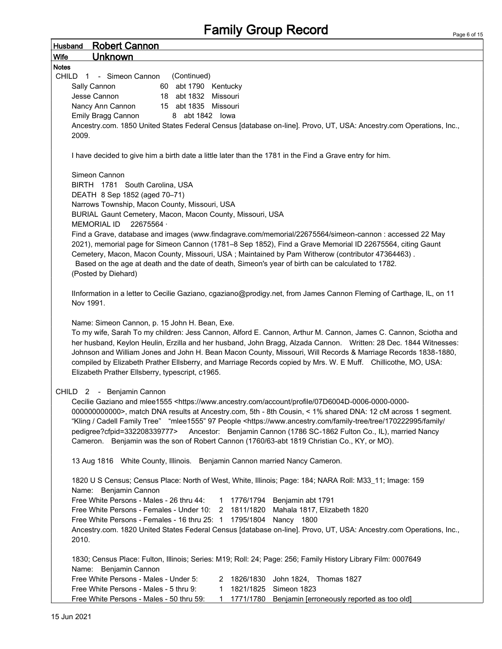| <b>Robert Cannon</b><br><b>Husband</b>                                                                                                                                                                 |  |  |  |  |  |  |  |  |
|--------------------------------------------------------------------------------------------------------------------------------------------------------------------------------------------------------|--|--|--|--|--|--|--|--|
| <b>Unknown</b><br><b>Wife</b>                                                                                                                                                                          |  |  |  |  |  |  |  |  |
| <b>Notes</b>                                                                                                                                                                                           |  |  |  |  |  |  |  |  |
| CHILD 1 - Simeon Cannon<br>(Continued)                                                                                                                                                                 |  |  |  |  |  |  |  |  |
| 60 abt 1790 Kentucky<br>Sally Cannon                                                                                                                                                                   |  |  |  |  |  |  |  |  |
| Jesse Cannon<br>18 abt 1832 Missouri                                                                                                                                                                   |  |  |  |  |  |  |  |  |
| Nancy Ann Cannon<br>15 abt 1835 Missouri                                                                                                                                                               |  |  |  |  |  |  |  |  |
| Emily Bragg Cannon<br>8 abt 1842 lowa<br>Ancestry.com. 1850 United States Federal Census [database on-line]. Provo, UT, USA: Ancestry.com Operations, Inc.,                                            |  |  |  |  |  |  |  |  |
| 2009.                                                                                                                                                                                                  |  |  |  |  |  |  |  |  |
|                                                                                                                                                                                                        |  |  |  |  |  |  |  |  |
| I have decided to give him a birth date a little later than the 1781 in the Find a Grave entry for him.                                                                                                |  |  |  |  |  |  |  |  |
| Simeon Cannon                                                                                                                                                                                          |  |  |  |  |  |  |  |  |
| BIRTH 1781 South Carolina, USA                                                                                                                                                                         |  |  |  |  |  |  |  |  |
| DEATH 8 Sep 1852 (aged 70-71)                                                                                                                                                                          |  |  |  |  |  |  |  |  |
| Narrows Township, Macon County, Missouri, USA                                                                                                                                                          |  |  |  |  |  |  |  |  |
| BURIAL Gaunt Cemetery, Macon, Macon County, Missouri, USA                                                                                                                                              |  |  |  |  |  |  |  |  |
| <b>MEMORIAL ID</b><br>22675564 ·                                                                                                                                                                       |  |  |  |  |  |  |  |  |
| Find a Grave, database and images (www.findagrave.com/memorial/22675564/simeon-cannon : accessed 22 May                                                                                                |  |  |  |  |  |  |  |  |
| 2021), memorial page for Simeon Cannon (1781–8 Sep 1852), Find a Grave Memorial ID 22675564, citing Gaunt                                                                                              |  |  |  |  |  |  |  |  |
| Cemetery, Macon, Macon County, Missouri, USA; Maintained by Pam Witherow (contributor 47364463).<br>Based on the age at death and the date of death, Simeon's year of birth can be calculated to 1782. |  |  |  |  |  |  |  |  |
| (Posted by Diehard)                                                                                                                                                                                    |  |  |  |  |  |  |  |  |
|                                                                                                                                                                                                        |  |  |  |  |  |  |  |  |
| IInformation in a letter to Cecilie Gaziano, cgaziano@prodigy.net, from James Cannon Fleming of Carthage, IL, on 11                                                                                    |  |  |  |  |  |  |  |  |
| Nov 1991.                                                                                                                                                                                              |  |  |  |  |  |  |  |  |
|                                                                                                                                                                                                        |  |  |  |  |  |  |  |  |
| Name: Simeon Cannon, p. 15 John H. Bean, Exe.                                                                                                                                                          |  |  |  |  |  |  |  |  |
| To my wife, Sarah To my children: Jess Cannon, Alford E. Cannon, Arthur M. Cannon, James C. Cannon, Sciotha and                                                                                        |  |  |  |  |  |  |  |  |
| her husband, Keylon Heulin, Erzilla and her husband, John Bragg, Alzada Cannon. Written: 28 Dec. 1844 Witnesses:                                                                                       |  |  |  |  |  |  |  |  |
| Johnson and William Jones and John H. Bean Macon County, Missouri, Will Records & Marriage Records 1838-1880,                                                                                          |  |  |  |  |  |  |  |  |
| compiled by Elizabeth Prather Ellsberry, and Marriage Records copied by Mrs. W. E Muff. Chillicothe, MO, USA:                                                                                          |  |  |  |  |  |  |  |  |
| Elizabeth Prather Ellsberry, typescript, c1965.                                                                                                                                                        |  |  |  |  |  |  |  |  |
| CHILD <sub>2</sub><br>- Benjamin Cannon                                                                                                                                                                |  |  |  |  |  |  |  |  |
| Cecilie Gaziano and mlee1555 <https: 07d6004d-0006-0000-0000-<="" account="" profile="" td="" www.ancestry.com=""></https:>                                                                            |  |  |  |  |  |  |  |  |
| 000000000000>, match DNA results at Ancestry.com, 5th - 8th Cousin, < 1% shared DNA: 12 cM across 1 segment.                                                                                           |  |  |  |  |  |  |  |  |
| "Kling / Cadell Family Tree" "mlee1555" 97 People <https: 170222995="" <="" family="" family-tree="" td="" tree="" www.ancestry.com=""></https:>                                                       |  |  |  |  |  |  |  |  |
| pedigree?cfpid=332208339777> Ancestor: Benjamin Cannon (1786 SC-1862 Fulton Co., IL), married Nancy                                                                                                    |  |  |  |  |  |  |  |  |
| Cameron. Benjamin was the son of Robert Cannon (1760/63-abt 1819 Christian Co., KY, or MO).                                                                                                            |  |  |  |  |  |  |  |  |
|                                                                                                                                                                                                        |  |  |  |  |  |  |  |  |
| 13 Aug 1816 White County, Illinois. Benjamin Cannon married Nancy Cameron.                                                                                                                             |  |  |  |  |  |  |  |  |
|                                                                                                                                                                                                        |  |  |  |  |  |  |  |  |
| 1820 U S Census; Census Place: North of West, White, Illinois; Page: 184; NARA Roll: M33_11; Image: 159                                                                                                |  |  |  |  |  |  |  |  |
| Name: Benjamin Cannon                                                                                                                                                                                  |  |  |  |  |  |  |  |  |
| Free White Persons - Males - 26 thru 44:<br>1 1776/1794 Benjamin abt 1791                                                                                                                              |  |  |  |  |  |  |  |  |
| Free White Persons - Females - Under 10: 2 1811/1820 Mahala 1817, Elizabeth 1820<br>Free White Persons - Females - 16 thru 25: 1 1795/1804 Nancy 1800                                                  |  |  |  |  |  |  |  |  |
| Ancestry.com. 1820 United States Federal Census [database on-line]. Provo, UT, USA: Ancestry.com Operations, Inc.,                                                                                     |  |  |  |  |  |  |  |  |
| 2010.                                                                                                                                                                                                  |  |  |  |  |  |  |  |  |
|                                                                                                                                                                                                        |  |  |  |  |  |  |  |  |
| 1830; Census Place: Fulton, Illinois; Series: M19; Roll: 24; Page: 256; Family History Library Film: 0007649                                                                                           |  |  |  |  |  |  |  |  |
| Name: Benjamin Cannon                                                                                                                                                                                  |  |  |  |  |  |  |  |  |
| Free White Persons - Males - Under 5:<br>2 1826/1830<br>John 1824, Thomas 1827                                                                                                                         |  |  |  |  |  |  |  |  |
| Free White Persons - Males - 5 thru 9:<br>1821/1825<br>Simeon 1823<br>$\mathbf{1}$                                                                                                                     |  |  |  |  |  |  |  |  |
| 1 1771/1780 Benjamin [erroneously reported as too old]<br>Free White Persons - Males - 50 thru 59:                                                                                                     |  |  |  |  |  |  |  |  |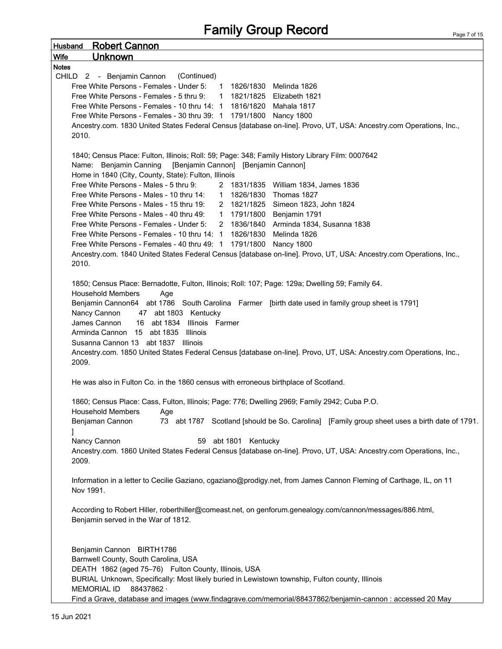| <b>Husband</b> Robert Cannon                                                                                                                                                                                                                                                                                                                                                                         |
|------------------------------------------------------------------------------------------------------------------------------------------------------------------------------------------------------------------------------------------------------------------------------------------------------------------------------------------------------------------------------------------------------|
| Wife<br><u>Unknown</u>                                                                                                                                                                                                                                                                                                                                                                               |
| <b>Notes</b>                                                                                                                                                                                                                                                                                                                                                                                         |
| (Continued)<br>CHILD 2 - Benjamin Cannon                                                                                                                                                                                                                                                                                                                                                             |
| Free White Persons - Females - Under 5: 1 1826/1830 Melinda 1826<br>Free White Persons - Females - 5 thru 9: 1 1821/1825 Elizabeth 1821                                                                                                                                                                                                                                                              |
| Free White Persons - Females - 10 thru 14: 1 1816/1820 Mahala 1817                                                                                                                                                                                                                                                                                                                                   |
| Free White Persons - Females - 30 thru 39: 1 1791/1800 Nancy 1800                                                                                                                                                                                                                                                                                                                                    |
| Ancestry.com. 1830 United States Federal Census [database on-line]. Provo, UT, USA: Ancestry.com Operations, Inc.,                                                                                                                                                                                                                                                                                   |
| 2010.                                                                                                                                                                                                                                                                                                                                                                                                |
|                                                                                                                                                                                                                                                                                                                                                                                                      |
| 1840; Census Place: Fulton, Illinois; Roll: 59; Page: 348; Family History Library Film: 0007642                                                                                                                                                                                                                                                                                                      |
| Name: Benjamin Canning [Benjamin Cannon] [Benjamin Cannon]                                                                                                                                                                                                                                                                                                                                           |
| Home in 1840 (City, County, State): Fulton, Illinois                                                                                                                                                                                                                                                                                                                                                 |
| Free White Persons - Males - 5 thru 9:<br>2 1831/1835 William 1834, James 1836                                                                                                                                                                                                                                                                                                                       |
| Free White Persons - Males - 10 thru 14: 1 1826/1830 Thomas 1827                                                                                                                                                                                                                                                                                                                                     |
| Free White Persons - Males - 15 thru 19: 2 1821/1825 Simeon 1823, John 1824<br>Free White Persons - Males - 40 thru 49: 1 1791/1800 Benjamin 1791                                                                                                                                                                                                                                                    |
| Free White Persons - Females - Under 5: 2 1836/1840 Arminda 1834, Susanna 1838                                                                                                                                                                                                                                                                                                                       |
| Free White Persons - Females - 10 thru 14: 1 1826/1830 Melinda 1826                                                                                                                                                                                                                                                                                                                                  |
| Free White Persons - Females - 40 thru 49: 1 1791/1800 Nancy 1800                                                                                                                                                                                                                                                                                                                                    |
| Ancestry.com. 1840 United States Federal Census [database on-line]. Provo, UT, USA: Ancestry.com Operations, Inc.,                                                                                                                                                                                                                                                                                   |
| 2010.                                                                                                                                                                                                                                                                                                                                                                                                |
| Benjamin Cannon64 abt 1786 South Carolina Farmer [birth date used in family group sheet is 1791]<br>Nancy Cannon<br>47 abt 1803 Kentucky<br>James Cannon<br>16 abt 1834 Illinois Farmer<br>Arminda Cannon 15 abt 1835 Illinois<br>Susanna Cannon 13 abt 1837 Illinois<br>Ancestry.com. 1850 United States Federal Census [database on-line]. Provo, UT, USA: Ancestry.com Operations, Inc.,<br>2009. |
| He was also in Fulton Co. in the 1860 census with erroneous birthplace of Scotland.                                                                                                                                                                                                                                                                                                                  |
| 1860; Census Place: Cass, Fulton, Illinois; Page: 776; Dwelling 2969; Family 2942; Cuba P.O.<br><b>Household Members</b><br>Age                                                                                                                                                                                                                                                                      |
| 73 abt 1787 Scotland [should be So. Carolina] [Family group sheet uses a birth date of 1791.<br>Benjaman Cannon                                                                                                                                                                                                                                                                                      |
| Nancy Cannon<br>59 abt 1801 Kentucky                                                                                                                                                                                                                                                                                                                                                                 |
| Ancestry.com. 1860 United States Federal Census [database on-line]. Provo, UT, USA: Ancestry.com Operations, Inc.,<br>2009.                                                                                                                                                                                                                                                                          |
| Information in a letter to Cecilie Gaziano, cgaziano@prodigy.net, from James Cannon Fleming of Carthage, IL, on 11<br>Nov 1991.                                                                                                                                                                                                                                                                      |
| According to Robert Hiller, roberthiller@comeast.net, on genforum.genealogy.com/cannon/messages/886.html,<br>Benjamin served in the War of 1812.                                                                                                                                                                                                                                                     |
| Benjamin Cannon BIRTH1786                                                                                                                                                                                                                                                                                                                                                                            |
| Barnwell County, South Carolina, USA                                                                                                                                                                                                                                                                                                                                                                 |
| DEATH 1862 (aged 75-76) Fulton County, Illinois, USA                                                                                                                                                                                                                                                                                                                                                 |
| BURIAL Unknown, Specifically: Most likely buried in Lewistown township, Fulton county, Illinois                                                                                                                                                                                                                                                                                                      |
| 88437862 ·<br><b>MEMORIAL ID</b>                                                                                                                                                                                                                                                                                                                                                                     |
| Find a Grave, database and images (www.findagrave.com/memorial/88437862/benjamin-cannon : accessed 20 May                                                                                                                                                                                                                                                                                            |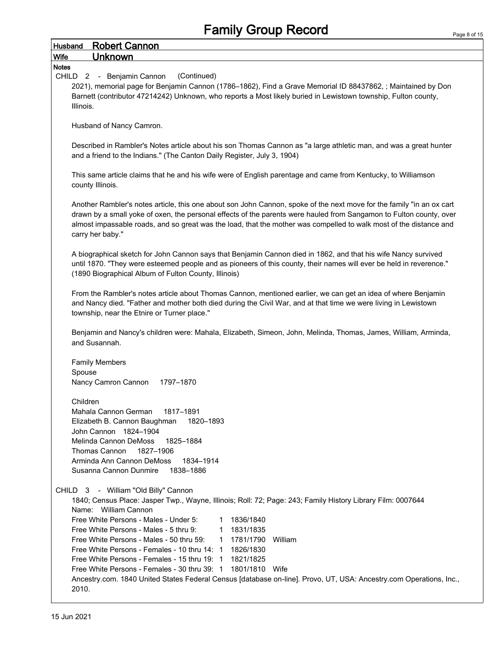| <b>Husband</b>            | <b>Robert Cannon</b>                                                                                                                                                                                                                                                                                                                                               |
|---------------------------|--------------------------------------------------------------------------------------------------------------------------------------------------------------------------------------------------------------------------------------------------------------------------------------------------------------------------------------------------------------------|
| <b>Wife</b>               | <b>Unknown</b>                                                                                                                                                                                                                                                                                                                                                     |
| <b>Notes</b>              |                                                                                                                                                                                                                                                                                                                                                                    |
| CHILD 2 - Benjamin Cannon | (Continued)                                                                                                                                                                                                                                                                                                                                                        |
|                           | 2021), memorial page for Benjamin Cannon (1786-1862), Find a Grave Memorial ID 88437862, ; Maintained by Don                                                                                                                                                                                                                                                       |
|                           | Barnett (contributor 47214242) Unknown, who reports a Most likely buried in Lewistown township, Fulton county,                                                                                                                                                                                                                                                     |
| Illinois.                 |                                                                                                                                                                                                                                                                                                                                                                    |
|                           |                                                                                                                                                                                                                                                                                                                                                                    |
|                           | Husband of Nancy Camron.                                                                                                                                                                                                                                                                                                                                           |
|                           |                                                                                                                                                                                                                                                                                                                                                                    |
|                           | Described in Rambler's Notes article about his son Thomas Cannon as "a large athletic man, and was a great hunter<br>and a friend to the Indians." (The Canton Daily Register, July 3, 1904)                                                                                                                                                                       |
| county Illinois.          | This same article claims that he and his wife were of English parentage and came from Kentucky, to Williamson                                                                                                                                                                                                                                                      |
| carry her baby."          | Another Rambler's notes article, this one about son John Cannon, spoke of the next move for the family "in an ox cart<br>drawn by a small yoke of oxen, the personal effects of the parents were hauled from Sangamon to Fulton county, over<br>almost impassable roads, and so great was the load, that the mother was compelled to walk most of the distance and |
|                           | A biographical sketch for John Cannon says that Benjamin Cannon died in 1862, and that his wife Nancy survived<br>until 1870. "They were esteemed people and as pioneers of this county, their names will ever be held in reverence."<br>(1890 Biographical Album of Fulton County, Illinois)                                                                      |
|                           | From the Rambler's notes article about Thomas Cannon, mentioned earlier, we can get an idea of where Benjamin<br>and Nancy died. "Father and mother both died during the Civil War, and at that time we were living in Lewistown<br>township, near the Etnire or Turner place."                                                                                    |
| and Susannah.             | Benjamin and Nancy's children were: Mahala, Elizabeth, Simeon, John, Melinda, Thomas, James, William, Arminda,                                                                                                                                                                                                                                                     |
|                           |                                                                                                                                                                                                                                                                                                                                                                    |
| <b>Family Members</b>     |                                                                                                                                                                                                                                                                                                                                                                    |
| Spouse                    |                                                                                                                                                                                                                                                                                                                                                                    |
| Nancy Camron Cannon       | 1797-1870                                                                                                                                                                                                                                                                                                                                                          |
|                           |                                                                                                                                                                                                                                                                                                                                                                    |
| Children                  |                                                                                                                                                                                                                                                                                                                                                                    |
|                           | Mahala Cannon German<br>1817-1891                                                                                                                                                                                                                                                                                                                                  |
|                           | Elizabeth B. Cannon Baughman<br>1820-1893                                                                                                                                                                                                                                                                                                                          |
|                           | John Cannon 1824-1904                                                                                                                                                                                                                                                                                                                                              |
|                           | Melinda Cannon DeMoss<br>1825-1884                                                                                                                                                                                                                                                                                                                                 |
| Thomas Cannon             | 1827-1906                                                                                                                                                                                                                                                                                                                                                          |
|                           | Arminda Ann Cannon DeMoss<br>1834-1914                                                                                                                                                                                                                                                                                                                             |
|                           | Susanna Cannon Dunmire<br>1838-1886                                                                                                                                                                                                                                                                                                                                |
|                           | CHILD 3 - William "Old Billy" Cannon                                                                                                                                                                                                                                                                                                                               |
|                           | 1840; Census Place: Jasper Twp., Wayne, Illinois; Roll: 72; Page: 243; Family History Library Film: 0007644                                                                                                                                                                                                                                                        |
|                           | Name: William Cannon                                                                                                                                                                                                                                                                                                                                               |
|                           | Free White Persons - Males - Under 5:<br>1 1836/1840                                                                                                                                                                                                                                                                                                               |
|                           | Free White Persons - Males - 5 thru 9:<br>1831/1835<br>$1 \quad$                                                                                                                                                                                                                                                                                                   |
|                           | Free White Persons - Males - 50 thru 59:<br>1 1781/1790<br>William                                                                                                                                                                                                                                                                                                 |
|                           | Free White Persons - Females - 10 thru 14: 1 1826/1830                                                                                                                                                                                                                                                                                                             |
|                           | Free White Persons - Females - 15 thru 19: 1 1821/1825                                                                                                                                                                                                                                                                                                             |
|                           | Free White Persons - Females - 30 thru 39: 1 1801/1810 Wife                                                                                                                                                                                                                                                                                                        |
| 2010.                     | Ancestry.com. 1840 United States Federal Census [database on-line]. Provo, UT, USA: Ancestry.com Operations, Inc.,                                                                                                                                                                                                                                                 |

**r**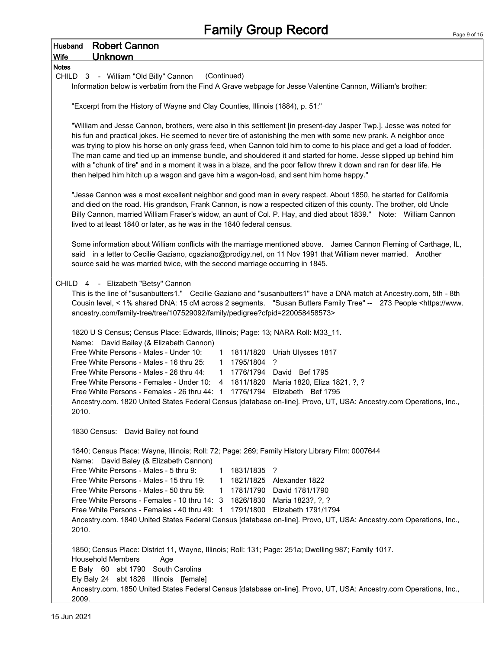| <b>Husband</b> | <b>Robert Cannon</b>                                                                                                                                                                                                                                                                                                                                                                                                                                                                                                                                                          |  |  |  |  |  |
|----------------|-------------------------------------------------------------------------------------------------------------------------------------------------------------------------------------------------------------------------------------------------------------------------------------------------------------------------------------------------------------------------------------------------------------------------------------------------------------------------------------------------------------------------------------------------------------------------------|--|--|--|--|--|
| Wife           | <b>Unknown</b>                                                                                                                                                                                                                                                                                                                                                                                                                                                                                                                                                                |  |  |  |  |  |
| <b>Notes</b>   | CHILD 3 - William "Old Billy" Cannon<br>(Continued)                                                                                                                                                                                                                                                                                                                                                                                                                                                                                                                           |  |  |  |  |  |
|                | Information below is verbatim from the Find A Grave webpage for Jesse Valentine Cannon, William's brother:                                                                                                                                                                                                                                                                                                                                                                                                                                                                    |  |  |  |  |  |
|                |                                                                                                                                                                                                                                                                                                                                                                                                                                                                                                                                                                               |  |  |  |  |  |
|                | "Excerpt from the History of Wayne and Clay Counties, Illinois (1884), p. 51:"                                                                                                                                                                                                                                                                                                                                                                                                                                                                                                |  |  |  |  |  |
|                | "William and Jesse Cannon, brothers, were also in this settlement [in present-day Jasper Twp.]. Jesse was noted for                                                                                                                                                                                                                                                                                                                                                                                                                                                           |  |  |  |  |  |
|                | his fun and practical jokes. He seemed to never tire of astonishing the men with some new prank. A neighbor once<br>was trying to plow his horse on only grass feed, when Cannon told him to come to his place and get a load of fodder.<br>The man came and tied up an immense bundle, and shouldered it and started for home. Jesse slipped up behind him<br>with a "chunk of tire" and in a moment it was in a blaze, and the poor fellow threw it down and ran for dear life. He<br>then helped him hitch up a wagon and gave him a wagon-load, and sent him home happy." |  |  |  |  |  |
|                | "Jesse Cannon was a most excellent neighbor and good man in every respect. About 1850, he started for California<br>and died on the road. His grandson, Frank Cannon, is now a respected citizen of this county. The brother, old Uncle<br>Billy Cannon, married William Fraser's widow, an aunt of Col. P. Hay, and died about 1839." Note: William Cannon<br>lived to at least 1840 or later, as he was in the 1840 federal census.                                                                                                                                         |  |  |  |  |  |
|                | Some information about William conflicts with the marriage mentioned above. James Cannon Fleming of Carthage, IL,<br>said in a letter to Cecilie Gaziano, cgaziano@prodigy.net, on 11 Nov 1991 that William never married. Another<br>source said he was married twice, with the second marriage occurring in 1845.                                                                                                                                                                                                                                                           |  |  |  |  |  |
|                | CHILD 4 - Elizabeth "Betsy" Cannon                                                                                                                                                                                                                                                                                                                                                                                                                                                                                                                                            |  |  |  |  |  |
|                | This is the line of "susanbutters1." Cecilie Gaziano and "susanbutters1" have a DNA match at Ancestry.com, 5th - 8th<br>Cousin level, < 1% shared DNA: 15 cM across 2 segments. "Susan Butters Family Tree" -- 273 People <https: www.<br="">ancestry.com/family-tree/tree/107529092/family/pedigree?cfpid=220058458573&gt;</https:>                                                                                                                                                                                                                                          |  |  |  |  |  |
|                | 1820 U S Census; Census Place: Edwards, Illinois; Page: 13; NARA Roll: M33_11.<br>Name: David Bailey (& Elizabeth Cannon)                                                                                                                                                                                                                                                                                                                                                                                                                                                     |  |  |  |  |  |
|                | Free White Persons - Males - Under 10:<br>1 1811/1820 Uriah Ulysses 1817<br>Free White Persons - Males - 16 thru 25:<br>1 1795/1804 ?                                                                                                                                                                                                                                                                                                                                                                                                                                         |  |  |  |  |  |
|                | Free White Persons - Males - 26 thru 44:<br>$\mathbf{1}$<br>1776/1794 David Bef 1795                                                                                                                                                                                                                                                                                                                                                                                                                                                                                          |  |  |  |  |  |
|                | Free White Persons - Females - Under 10: 4 1811/1820 Maria 1820, Eliza 1821, ?, ?<br>Free White Persons - Females - 26 thru 44: 1 1776/1794 Elizabeth Bef 1795                                                                                                                                                                                                                                                                                                                                                                                                                |  |  |  |  |  |
| 2010.          | Ancestry.com. 1820 United States Federal Census [database on-line]. Provo, UT, USA: Ancestry.com Operations, Inc.,                                                                                                                                                                                                                                                                                                                                                                                                                                                            |  |  |  |  |  |
|                | 1830 Census: David Bailey not found                                                                                                                                                                                                                                                                                                                                                                                                                                                                                                                                           |  |  |  |  |  |
|                | 1840; Census Place: Wayne, Illinois; Roll: 72; Page: 269; Family History Library Film: 0007644<br>Name: David Baley (& Elizabeth Cannon)                                                                                                                                                                                                                                                                                                                                                                                                                                      |  |  |  |  |  |
|                | Free White Persons - Males - 5 thru 9:<br>1831/1835 ?<br>1                                                                                                                                                                                                                                                                                                                                                                                                                                                                                                                    |  |  |  |  |  |
|                | Free White Persons - Males - 15 thru 19:<br>1821/1825 Alexander 1822<br>$\mathbf{1}$                                                                                                                                                                                                                                                                                                                                                                                                                                                                                          |  |  |  |  |  |
|                | Free White Persons - Males - 50 thru 59:<br>1 1781/1790 David 1781/1790                                                                                                                                                                                                                                                                                                                                                                                                                                                                                                       |  |  |  |  |  |
|                | Free White Persons - Females - 10 thru 14: 3 1826/1830 Maria 1823?, ?, ?<br>Free White Persons - Females - 40 thru 49: 1 1791/1800 Elizabeth 1791/1794                                                                                                                                                                                                                                                                                                                                                                                                                        |  |  |  |  |  |
|                | Ancestry.com. 1840 United States Federal Census [database on-line]. Provo, UT, USA: Ancestry.com Operations, Inc.,                                                                                                                                                                                                                                                                                                                                                                                                                                                            |  |  |  |  |  |
| 2010.          |                                                                                                                                                                                                                                                                                                                                                                                                                                                                                                                                                                               |  |  |  |  |  |
|                | 1850; Census Place: District 11, Wayne, Illinois; Roll: 131; Page: 251a; Dwelling 987; Family 1017.                                                                                                                                                                                                                                                                                                                                                                                                                                                                           |  |  |  |  |  |
|                | <b>Household Members</b><br>Age<br>South Carolina                                                                                                                                                                                                                                                                                                                                                                                                                                                                                                                             |  |  |  |  |  |
|                | E Baly 60 abt 1790<br>Ely Baly 24 abt 1826 Illinois [female]                                                                                                                                                                                                                                                                                                                                                                                                                                                                                                                  |  |  |  |  |  |
|                | Ancestry.com. 1850 United States Federal Census [database on-line]. Provo, UT, USA: Ancestry.com Operations, Inc.,                                                                                                                                                                                                                                                                                                                                                                                                                                                            |  |  |  |  |  |
| 2009.          |                                                                                                                                                                                                                                                                                                                                                                                                                                                                                                                                                                               |  |  |  |  |  |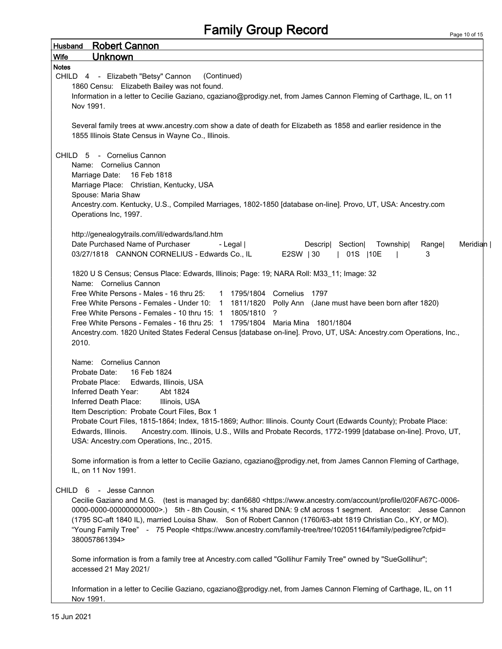## Family Group Record

|              | <b>Husband</b> Robert Cannon                                                                                                                                           |
|--------------|------------------------------------------------------------------------------------------------------------------------------------------------------------------------|
| <b>Wife</b>  | <b>Unknown</b>                                                                                                                                                         |
| <b>Notes</b> |                                                                                                                                                                        |
|              | (Continued)<br>CHILD 4 - Elizabeth "Betsy" Cannon                                                                                                                      |
|              | 1860 Censu: Elizabeth Bailey was not found.                                                                                                                            |
|              | Information in a letter to Cecilie Gaziano, cgaziano@prodigy.net, from James Cannon Fleming of Carthage, IL, on 11                                                     |
|              | Nov 1991.                                                                                                                                                              |
|              | Several family trees at www.ancestry.com show a date of death for Elizabeth as 1858 and earlier residence in the<br>1855 Illinois State Census in Wayne Co., Illinois. |
|              | CHILD 5 - Cornelius Cannon                                                                                                                                             |
|              | Name: Cornelius Cannon                                                                                                                                                 |
|              | Marriage Date: 16 Feb 1818                                                                                                                                             |
|              | Marriage Place: Christian, Kentucky, USA                                                                                                                               |
|              | Spouse: Maria Shaw                                                                                                                                                     |
|              | Ancestry.com. Kentucky, U.S., Compiled Marriages, 1802-1850 [database on-line]. Provo, UT, USA: Ancestry.com                                                           |
|              | Operations Inc, 1997.                                                                                                                                                  |
|              |                                                                                                                                                                        |
|              | http://genealogytrails.com/ill/edwards/land.htm                                                                                                                        |
|              | Date Purchased Name of Purchaser<br>- Legal  <br>Descrip Section<br>Township<br>Meridian  <br>Rangel                                                                   |
|              | 03/27/1818 CANNON CORNELIUS - Edwards Co., IL<br>E2SW   30<br>  01S   10E<br>3                                                                                         |
|              |                                                                                                                                                                        |
|              | 1820 U S Census; Census Place: Edwards, Illinois; Page: 19; NARA Roll: M33_11; Image: 32                                                                               |
|              | Name: Cornelius Cannon                                                                                                                                                 |
|              | Free White Persons - Males - 16 thru 25: 1 1795/1804 Cornelius<br>1797                                                                                                 |
|              | Free White Persons - Females - Under 10: 1 1811/1820<br>Polly Ann (Jane must have been born after 1820)                                                                |
|              | Free White Persons - Females - 10 thru 15: 1 1805/1810<br>?                                                                                                            |
|              | Free White Persons - Females - 16 thru 25: 1 1795/1804 Maria Mina 1801/1804                                                                                            |
|              | Ancestry.com. 1820 United States Federal Census [database on-line]. Provo, UT, USA: Ancestry.com Operations, Inc.,                                                     |
|              | 2010.                                                                                                                                                                  |
|              |                                                                                                                                                                        |
|              | Name: Cornelius Cannon                                                                                                                                                 |
|              | 16 Feb 1824<br>Probate Date:                                                                                                                                           |
|              | Probate Place:<br>Edwards, Illinois, USA                                                                                                                               |
|              | Inferred Death Year:<br>Abt 1824                                                                                                                                       |
|              | Inferred Death Place:<br>Illinois, USA                                                                                                                                 |
|              | Item Description: Probate Court Files, Box 1                                                                                                                           |
|              | Probate Court Files, 1815-1864; Index, 1815-1869; Author: Illinois. County Court (Edwards County); Probate Place:                                                      |
|              | Ancestry.com. Illinois, U.S., Wills and Probate Records, 1772-1999 [database on-line]. Provo, UT,<br>Edwards, Illinois.                                                |
|              | USA: Ancestry.com Operations, Inc., 2015.                                                                                                                              |
|              |                                                                                                                                                                        |
|              | Some information is from a letter to Cecilie Gaziano, cgaziano@prodigy.net, from James Cannon Fleming of Carthage,                                                     |
|              | IL, on 11 Nov 1991.                                                                                                                                                    |
|              |                                                                                                                                                                        |
|              | CHILD 6 - Jesse Cannon                                                                                                                                                 |
|              | Cecilie Gaziano and M.G. (test is managed by: dan6680 <https: 020fa67c-0006-<="" account="" profile="" td="" www.ancestry.com=""></https:>                             |
|              | 0000-0000-0000000000000>.) 5th - 8th Cousin, < 1% shared DNA: 9 cM across 1 segment. Ancestor: Jesse Cannon                                                            |
|              | (1795 SC-aft 1840 IL), married Louisa Shaw. Son of Robert Cannon (1760/63-abt 1819 Christian Co., KY, or MO).                                                          |
|              | "Young Family Tree" - 75 People <https: 102051164="" family="" family-tree="" pedigree?cfpid="&lt;/td" tree="" www.ancestry.com=""></https:>                           |
|              | 380057861394>                                                                                                                                                          |
|              |                                                                                                                                                                        |
|              | Some information is from a family tree at Ancestry.com called "Gollihur Family Tree" owned by "SueGollihur";                                                           |
|              | accessed 21 May 2021/                                                                                                                                                  |
|              |                                                                                                                                                                        |
|              | Information in a letter to Cecilie Gaziano, cgaziano@prodigy.net, from James Cannon Fleming of Carthage, IL, on 11                                                     |
|              | Nov 1991.                                                                                                                                                              |

 $\overline{1}$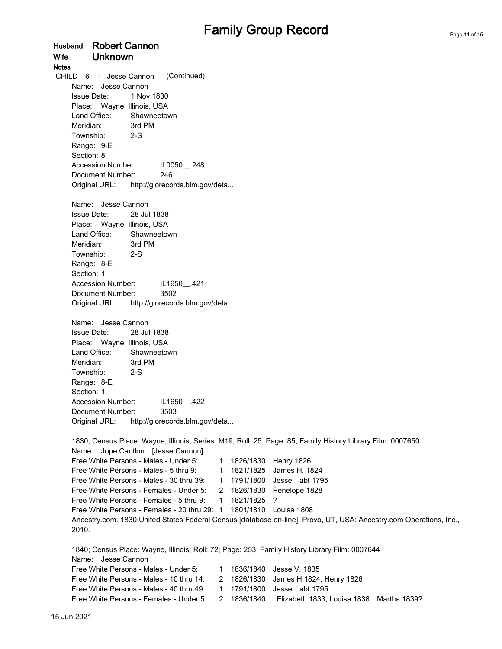Husband Robert Cannon Wife Unknown Notes CHILD 6 - Jesse Cannon (Continued) Name: Jesse Cannon Issue Date: 1 Nov 1830 Place: Wayne, Illinois, USA Land Office: Shawneetown Meridian: 3rd PM Township: 2-S Range: 9-E Section: 8 Accession Number: IL0050 .248 Document Number: 246 Original URL: http://glorecords.blm.gov/deta... Name: Jesse Cannon Issue Date: 28 Jul 1838 Place: Wayne, Illinois, USA Land Office: Shawneetown Meridian: 3rd PM Township: 2-S Range: 8-E Section: 1 Accession Number: IL1650\_.421 Document Number: 3502 Original URL: http://glorecords.blm.gov/deta... Name: Jesse Cannon Issue Date: 28 Jul 1838 Place: Wayne, Illinois, USA Land Office: Shawneetown Meridian: 3rd PM Township: 2-S Range: 8-E Section: 1 Accession Number: IL1650 .422 Document Number: 3503 Original URL: http://glorecords.blm.gov/deta... 1830; Census Place: Wayne, Illinois; Series: M19; Roll: 25; Page: 85; Family History Library Film: 0007650 Name: Jope Cantlon [Jesse Cannon] Free White Persons - Males - Under 5: 1 1826/1830 Henry 1826 Free White Persons - Males - 5 thru 9: 1 1821/1825 James H. 1824 Free White Persons - Males - 30 thru 39: 1 1791/1800 Jesse abt 1795 Free White Persons - Females - Under 5: 2 1826/1830 Penelope 1828 Free White Persons - Females - 5 thru 9:  $1 \t 1821/1825$  ? Free White Persons - Females - 20 thru 29: 1 1801/1810 Louisa 1808 Ancestry.com. 1830 United States Federal Census [database on-line]. Provo, UT, USA: Ancestry.com Operations, Inc., 2010. 1840; Census Place: Wayne, Illinois; Roll: 72; Page: 253; Family History Library Film: 0007644 Name: Jesse Cannon Free White Persons - Males - Under 5: 1 1836/1840 Jesse V. 1835 Free White Persons - Males - 10 thru 14: 2 1826/1830 James H 1824, Henry 1826 Free White Persons - Males - 40 thru 49: 1 1791/1800 Jesse abt 1795 Free White Persons - Females - Under 5: 2 1836/1840 Elizabeth 1833, Louisa 1838 Martha 1839?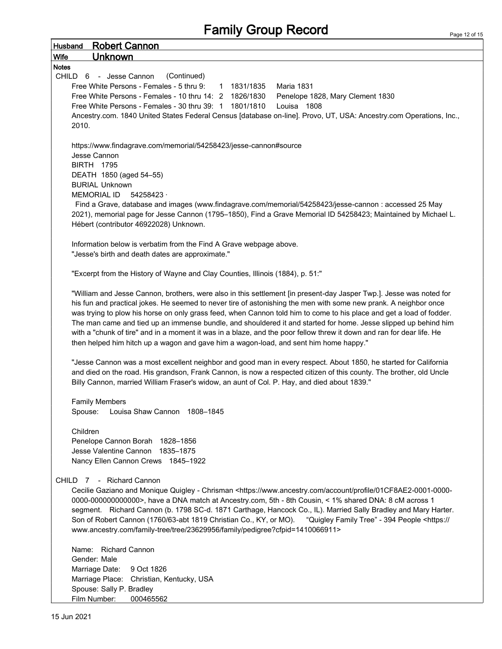## Family Group Record

| <b>Robert Cannon</b><br><b>Husband</b>                                                                                                   |
|------------------------------------------------------------------------------------------------------------------------------------------|
| <u>Unknown</u><br><b>Wife</b>                                                                                                            |
| <b>Notes</b>                                                                                                                             |
| CHILD 6 - Jesse Cannon<br>(Continued)                                                                                                    |
| Free White Persons - Females - 5 thru 9:<br>1 1831/1835<br><b>Maria 1831</b>                                                             |
| Free White Persons - Females - 10 thru 14: 2 1826/1830<br>Penelope 1828, Mary Clement 1830                                               |
| Free White Persons - Females - 30 thru 39: 1 1801/1810<br>Louisa 1808                                                                    |
| Ancestry.com. 1840 United States Federal Census [database on-line]. Provo, UT, USA: Ancestry.com Operations, Inc.,<br>2010.              |
| https://www.findagrave.com/memorial/54258423/jesse-cannon#source                                                                         |
| Jesse Cannon                                                                                                                             |
| <b>BIRTH 1795</b>                                                                                                                        |
| DEATH 1850 (aged 54-55)                                                                                                                  |
| <b>BURIAL Unknown</b>                                                                                                                    |
| <b>MEMORIAL ID</b><br>54258423                                                                                                           |
| Find a Grave, database and images (www.findagrave.com/memorial/54258423/jesse-cannon : accessed 25 May                                   |
| 2021), memorial page for Jesse Cannon (1795-1850), Find a Grave Memorial ID 54258423; Maintained by Michael L.                           |
| Hébert (contributor 46922028) Unknown.                                                                                                   |
| Information below is verbatim from the Find A Grave webpage above.                                                                       |
| "Jesse's birth and death dates are approximate."                                                                                         |
|                                                                                                                                          |
| "Excerpt from the History of Wayne and Clay Counties, Illinois (1884), p. 51:"                                                           |
| "William and Jesse Cannon, brothers, were also in this settlement [in present-day Jasper Twp.]. Jesse was noted for                      |
| his fun and practical jokes. He seemed to never tire of astonishing the men with some new prank. A neighbor once                         |
| was trying to plow his horse on only grass feed, when Cannon told him to come to his place and get a load of fodder.                     |
| The man came and tied up an immense bundle, and shouldered it and started for home. Jesse slipped up behind him                          |
| with a "chunk of tire" and in a moment it was in a blaze, and the poor fellow threw it down and ran for dear life. He                    |
| then helped him hitch up a wagon and gave him a wagon-load, and sent him home happy."                                                    |
| "Jesse Cannon was a most excellent neighbor and good man in every respect. About 1850, he started for California                         |
| and died on the road. His grandson, Frank Cannon, is now a respected citizen of this county. The brother, old Uncle                      |
| Billy Cannon, married William Fraser's widow, an aunt of Col. P. Hay, and died about 1839."                                              |
|                                                                                                                                          |
| <b>Family Members</b>                                                                                                                    |
| Louisa Shaw Cannon 1808-1845<br>Spouse:                                                                                                  |
|                                                                                                                                          |
| Children                                                                                                                                 |
| Penelope Cannon Borah 1828-1856<br>Jesse Valentine Cannon<br>1835-1875                                                                   |
| Nancy Ellen Cannon Crews 1845-1922                                                                                                       |
|                                                                                                                                          |
| - Richard Cannon<br>CHILD 7                                                                                                              |
| Cecilie Gaziano and Monique Quigley - Chrisman <https: 01cf8ae2-0001-0000-<="" account="" profile="" td="" www.ancestry.com=""></https:> |
| 0000-0000000000000>, have a DNA match at Ancestry.com, 5th - 8th Cousin, < 1% shared DNA: 8 cM across 1                                  |
| segment. Richard Cannon (b. 1798 SC-d. 1871 Carthage, Hancock Co., IL). Married Sally Bradley and Mary Harter.                           |
| Son of Robert Cannon (1760/63-abt 1819 Christian Co., KY, or MO). "Quigley Family Tree" - 394 People <https: <="" td=""></https:>        |
| www.ancestry.com/family-tree/tree/23629956/family/pedigree?cfpid=1410066911>                                                             |
| Name: Richard Cannon                                                                                                                     |
| Gender: Male                                                                                                                             |
| Marriage Date:<br>9 Oct 1826                                                                                                             |
| Marriage Place:<br>Christian, Kentucky, USA                                                                                              |
| Spouse: Sally P. Bradley                                                                                                                 |
| Film Number:<br>000465562                                                                                                                |

15 Jun 2021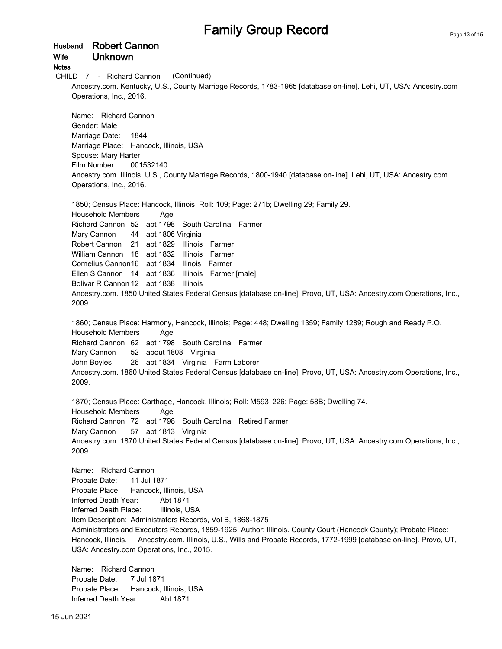Husband Robert Cannon Wife Unknown **Notes** CHILD 7 - Richard Cannon (Continued) Ancestry.com. Kentucky, U.S., County Marriage Records, 1783-1965 [database on-line]. Lehi, UT, USA: Ancestry.com Operations, Inc., 2016. Name: Richard Cannon Gender: Male Marriage Date: 1844 Marriage Place: Hancock, Illinois, USA Spouse: Mary Harter Film Number: 001532140 Ancestry.com. Illinois, U.S., County Marriage Records, 1800-1940 [database on-line]. Lehi, UT, USA: Ancestry.com Operations, Inc., 2016. 1850; Census Place: Hancock, Illinois; Roll: 109; Page: 271b; Dwelling 29; Family 29. Household Members Age Richard Cannon 52 abt 1798 South Carolina Farmer Mary Cannon 44 abt 1806 Virginia Robert Cannon 21 abt 1829 Illinois Farmer William Cannon 18 abt 1832 Illinois Farmer Cornelius Cannon16 abt 1834 Ilinois Farmer Ellen S Cannon 14 abt 1836 Illinois Farmer [male] Bolivar R Cannon 12 abt 1838 Illinois Ancestry.com. 1850 United States Federal Census [database on-line]. Provo, UT, USA: Ancestry.com Operations, Inc., 2009. 1860; Census Place: Harmony, Hancock, Illinois; Page: 448; Dwelling 1359; Family 1289; Rough and Ready P.O. Household Members Age Richard Cannon 62 abt 1798 South Carolina Farmer Mary Cannon 52 about 1808 Virginia John Boyles 26 abt 1834 Virginia Farm Laborer Ancestry.com. 1860 United States Federal Census [database on-line]. Provo, UT, USA: Ancestry.com Operations, Inc., 2009. 1870; Census Place: Carthage, Hancock, Illinois; Roll: M593\_226; Page: 58B; Dwelling 74. Household Members Age Richard Cannon 72 abt 1798 South Carolina Retired Farmer Mary Cannon 57 abt 1813 Virginia Ancestry.com. 1870 United States Federal Census [database on-line]. Provo, UT, USA: Ancestry.com Operations, Inc., 2009. Name: Richard Cannon Probate Date: 11 Jul 1871 Probate Place: Hancock, Illinois, USA Inferred Death Year: Abt 1871 Inferred Death Place: Illinois, USA Item Description: Administrators Records, Vol B, 1868-1875 Administrators and Executors Records, 1859-1925; Author: Illinois. County Court (Hancock County); Probate Place: Hancock, Illinois. Ancestry.com. Illinois, U.S., Wills and Probate Records, 1772-1999 [database on-line]. Provo, UT, USA: Ancestry.com Operations, Inc., 2015. Name: Richard Cannon Probate Date: 7 Jul 1871 Probate Place: Hancock, Illinois, USA Inferred Death Year: Abt 1871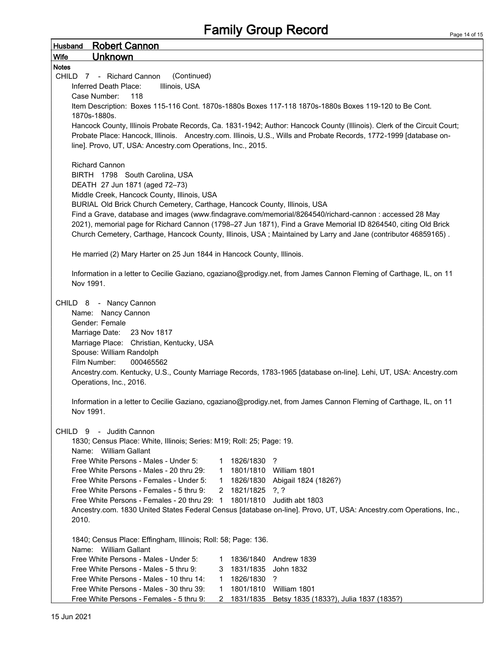| Husband                                                     | <b>Robert Cannon</b>                                                                                                    |                |                |                                                                                                                    |  |  |  |  |
|-------------------------------------------------------------|-------------------------------------------------------------------------------------------------------------------------|----------------|----------------|--------------------------------------------------------------------------------------------------------------------|--|--|--|--|
| <b>Wife</b>                                                 | <b>Unknown</b>                                                                                                          |                |                |                                                                                                                    |  |  |  |  |
| <b>Notes</b>                                                |                                                                                                                         |                |                |                                                                                                                    |  |  |  |  |
|                                                             | CHILD 7 - Richard Cannon<br>(Continued)                                                                                 |                |                |                                                                                                                    |  |  |  |  |
| Inferred Death Place:<br>Illinois, USA                      |                                                                                                                         |                |                |                                                                                                                    |  |  |  |  |
|                                                             | 118<br>Case Number:                                                                                                     |                |                |                                                                                                                    |  |  |  |  |
|                                                             | Item Description: Boxes 115-116 Cont. 1870s-1880s Boxes 117-118 1870s-1880s Boxes 119-120 to Be Cont.                   |                |                |                                                                                                                    |  |  |  |  |
|                                                             | 1870s-1880s.                                                                                                            |                |                |                                                                                                                    |  |  |  |  |
|                                                             | Hancock County, Illinois Probate Records, Ca. 1831-1942; Author: Hancock County (Illinois). Clerk of the Circuit Court; |                |                |                                                                                                                    |  |  |  |  |
|                                                             | Probate Place: Hancock, Illinois. Ancestry.com. Illinois, U.S., Wills and Probate Records, 1772-1999 [database on-      |                |                |                                                                                                                    |  |  |  |  |
| line]. Provo, UT, USA: Ancestry.com Operations, Inc., 2015. |                                                                                                                         |                |                |                                                                                                                    |  |  |  |  |
|                                                             |                                                                                                                         |                |                |                                                                                                                    |  |  |  |  |
|                                                             | <b>Richard Cannon</b>                                                                                                   |                |                |                                                                                                                    |  |  |  |  |
|                                                             | BIRTH 1798 South Carolina, USA                                                                                          |                |                |                                                                                                                    |  |  |  |  |
|                                                             | DEATH 27 Jun 1871 (aged 72-73)<br>Middle Creek, Hancock County, Illinois, USA                                           |                |                |                                                                                                                    |  |  |  |  |
|                                                             | BURIAL Old Brick Church Cemetery, Carthage, Hancock County, Illinois, USA                                               |                |                |                                                                                                                    |  |  |  |  |
|                                                             |                                                                                                                         |                |                | Find a Grave, database and images (www.findagrave.com/memorial/8264540/richard-cannon: accessed 28 May             |  |  |  |  |
|                                                             |                                                                                                                         |                |                | 2021), memorial page for Richard Cannon (1798-27 Jun 1871), Find a Grave Memorial ID 8264540, citing Old Brick     |  |  |  |  |
|                                                             |                                                                                                                         |                |                | Church Cemetery, Carthage, Hancock County, Illinois, USA; Maintained by Larry and Jane (contributor 46859165).     |  |  |  |  |
|                                                             |                                                                                                                         |                |                |                                                                                                                    |  |  |  |  |
|                                                             | He married (2) Mary Harter on 25 Jun 1844 in Hancock County, Illinois.                                                  |                |                |                                                                                                                    |  |  |  |  |
|                                                             |                                                                                                                         |                |                |                                                                                                                    |  |  |  |  |
|                                                             |                                                                                                                         |                |                | Information in a letter to Cecilie Gaziano, cgaziano@prodigy.net, from James Cannon Fleming of Carthage, IL, on 11 |  |  |  |  |
|                                                             | Nov 1991.                                                                                                               |                |                |                                                                                                                    |  |  |  |  |
|                                                             |                                                                                                                         |                |                |                                                                                                                    |  |  |  |  |
|                                                             | CHILD 8 - Nancy Cannon                                                                                                  |                |                |                                                                                                                    |  |  |  |  |
|                                                             | Name: Nancy Cannon                                                                                                      |                |                |                                                                                                                    |  |  |  |  |
|                                                             | Gender: Female                                                                                                          |                |                |                                                                                                                    |  |  |  |  |
|                                                             | Marriage Date:<br>23 Nov 1817                                                                                           |                |                |                                                                                                                    |  |  |  |  |
|                                                             | Marriage Place: Christian, Kentucky, USA                                                                                |                |                |                                                                                                                    |  |  |  |  |
|                                                             | Spouse: William Randolph                                                                                                |                |                |                                                                                                                    |  |  |  |  |
|                                                             | Film Number:<br>000465562                                                                                               |                |                |                                                                                                                    |  |  |  |  |
|                                                             |                                                                                                                         |                |                | Ancestry.com. Kentucky, U.S., County Marriage Records, 1783-1965 [database on-line]. Lehi, UT, USA: Ancestry.com   |  |  |  |  |
|                                                             | Operations, Inc., 2016.                                                                                                 |                |                |                                                                                                                    |  |  |  |  |
|                                                             |                                                                                                                         |                |                |                                                                                                                    |  |  |  |  |
|                                                             |                                                                                                                         |                |                | Information in a letter to Cecilie Gaziano, cgaziano@prodigy.net, from James Cannon Fleming of Carthage, IL, on 11 |  |  |  |  |
|                                                             | Nov 1991.                                                                                                               |                |                |                                                                                                                    |  |  |  |  |
|                                                             |                                                                                                                         |                |                |                                                                                                                    |  |  |  |  |
|                                                             | CHILD 9 - Judith Cannon                                                                                                 |                |                |                                                                                                                    |  |  |  |  |
|                                                             | 1830; Census Place: White, Illinois; Series: M19; Roll: 25; Page: 19.<br>Name: William Gallant                          |                |                |                                                                                                                    |  |  |  |  |
|                                                             | Free White Persons - Males - Under 5:                                                                                   | 1              | 1826/1830      | $\cdot$ ?                                                                                                          |  |  |  |  |
|                                                             | Free White Persons - Males - 20 thru 29:                                                                                | 1              |                | 1801/1810 William 1801                                                                                             |  |  |  |  |
|                                                             | Free White Persons - Females - Under 5:                                                                                 | $\mathbf{1}$   |                | 1826/1830 Abigail 1824 (1826?)                                                                                     |  |  |  |  |
|                                                             | Free White Persons - Females - 5 thru 9:                                                                                | $\overline{2}$ | 1821/1825 ?, ? |                                                                                                                    |  |  |  |  |
|                                                             | Free White Persons - Females - 20 thru 29: 1                                                                            |                | 1801/1810      | Judith abt 1803                                                                                                    |  |  |  |  |
|                                                             |                                                                                                                         |                |                | Ancestry.com. 1830 United States Federal Census [database on-line]. Provo, UT, USA: Ancestry.com Operations, Inc., |  |  |  |  |
|                                                             | 2010.                                                                                                                   |                |                |                                                                                                                    |  |  |  |  |
|                                                             |                                                                                                                         |                |                |                                                                                                                    |  |  |  |  |
|                                                             | 1840; Census Place: Effingham, Illinois; Roll: 58; Page: 136.                                                           |                |                |                                                                                                                    |  |  |  |  |
|                                                             | Name: William Gallant                                                                                                   |                |                |                                                                                                                    |  |  |  |  |
|                                                             | Free White Persons - Males - Under 5:                                                                                   | 1              | 1836/1840      | Andrew 1839                                                                                                        |  |  |  |  |
|                                                             | Free White Persons - Males - 5 thru 9:                                                                                  | 3.             | 1831/1835      | John 1832                                                                                                          |  |  |  |  |
|                                                             | Free White Persons - Males - 10 thru 14:                                                                                | $\mathbf{1}$   | 1826/1830      | ?                                                                                                                  |  |  |  |  |
|                                                             | Free White Persons - Males - 30 thru 39:                                                                                | $\mathbf{1}$   | 1801/1810      | William 1801                                                                                                       |  |  |  |  |
|                                                             | Free White Persons - Females - 5 thru 9:                                                                                |                |                | 2 1831/1835 Betsy 1835 (1833?), Julia 1837 (1835?)                                                                 |  |  |  |  |
|                                                             |                                                                                                                         |                |                |                                                                                                                    |  |  |  |  |